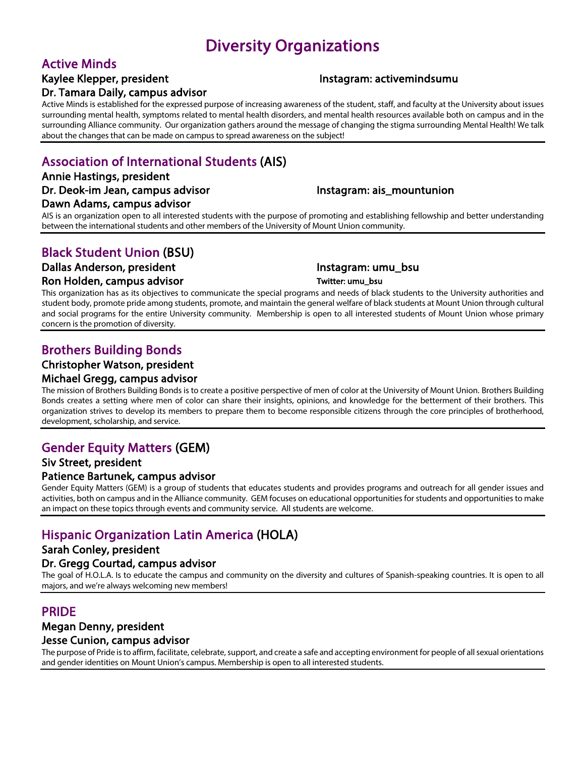# Diversity Organizations

## Active Minds

### Kaylee Klepper, president **Instagram: activemindsumu** Dr. Tamara Daily, campus advisor

Active Minds is established for the expressed purpose of increasing awareness of the student, staff, and faculty at the University about issues surrounding mental health, symptoms related to mental health disorders, and mental health resources available both on campus and in the surrounding Alliance community. Our organization gathers around the message of changing the stigma surrounding Mental Health! We talk about the changes that can be made on campus to spread awareness on the subject!

# Association of International Students (AIS)

# Annie Hastings, president

# Dawn Adams, campus advisor

### Dr. Deok-im Jean, campus advisor **Instagram: ais\_mountunion**

AIS is an organization open to all interested students with the purpose of promoting and establishing fellowship and better understanding between the international students and other members of the University of Mount Union community.

# Black Student Union (BSU)

### Dallas Anderson, president and a little instagram: umu\_bsu

#### Ron Holden, campus advisor Twitter: umu\_bsu

This organization has as its objectives to communicate the special programs and needs of black students to the University authorities and student body, promote pride among students, promote, and maintain the general welfare of black students at Mount Union through cultural and social programs for the entire University community. Membership is open to all interested students of Mount Union whose primary concern is the promotion of diversity.

# Brothers Building Bonds

### Christopher Watson, president

Michael Gregg, campus advisor<br>The mission of Brothers Building Bonds is to create a positive perspective of men of color at the University of Mount Union. Brothers Building Bonds creates a setting where men of color can share their insights, opinions, and knowledge for the betterment of their brothers. This organization strives to develop its members to prepare them to become responsible citizens through the core principles of brotherhood, development, scholarship, and service.

# Gender Equity Matters (GEM)

### Siv Street, president

Patience Bartunek, campus advisor<br>Gender Equity Matters (GEM) is a group of students that educates students and provides programs and outreach for all gender issues and activities, both on campus and in the Alliance community. GEM focuses on educational opportunities for students and opportunities to make an impact on these topics through events and community service. All students are welcome.

# Hispanic Organization Latin America (HOLA)

### Sarah Conley, president

Dr. Gregg Courtad, campus advisor<br>The goal of H.O.L.A. Is to educate the campus and community on the diversity and cultures of Spanish-speaking countries. It is open to all majors, and we're always welcoming new members!

## PRIDE

### Megan Denny, president

#### Jesse Cunion, campus advisor

The purpose of Pride is to affirm, facilitate, celebrate, support, and create a safe and accepting environment for people of all sexual orientations and gender identities on Mount Union's campus. Membership is open to all interested students.